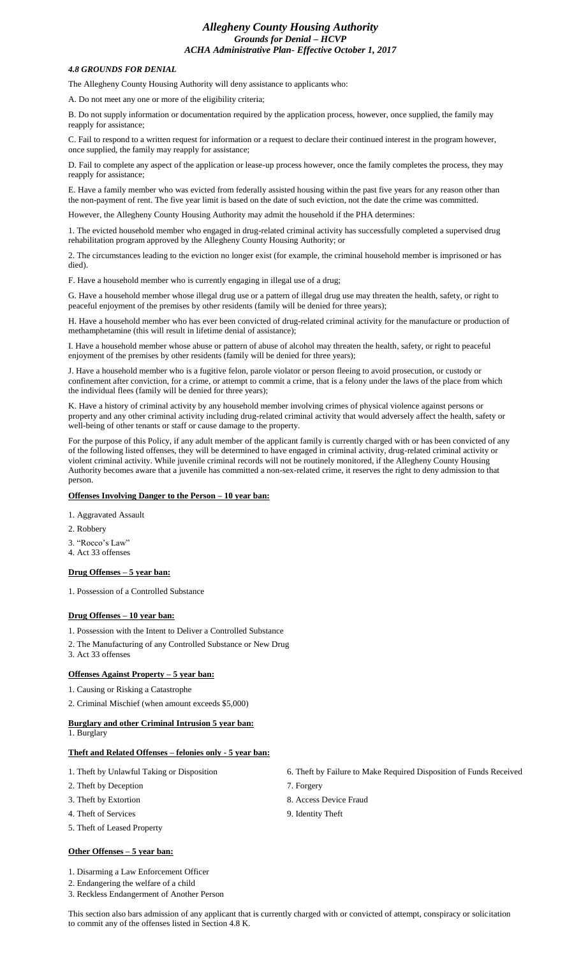# *Allegheny County Housing Authority Grounds for Denial – HCVP ACHA Administrative Plan- Effective October 1, 2017*

#### *4.8 GROUNDS FOR DENIAL*

The Allegheny County Housing Authority will deny assistance to applicants who:

A. Do not meet any one or more of the eligibility criteria;

B. Do not supply information or documentation required by the application process, however, once supplied, the family may reapply for assistance;

C. Fail to respond to a written request for information or a request to declare their continued interest in the program however, once supplied, the family may reapply for assistance;

D. Fail to complete any aspect of the application or lease-up process however, once the family completes the process, they may reapply for assistance;

E. Have a family member who was evicted from federally assisted housing within the past five years for any reason other than the non-payment of rent. The five year limit is based on the date of such eviction, not the date the crime was committed.

However, the Allegheny County Housing Authority may admit the household if the PHA determines:

1. The evicted household member who engaged in drug-related criminal activity has successfully completed a supervised drug rehabilitation program approved by the Allegheny County Housing Authority; or

2. The circumstances leading to the eviction no longer exist (for example, the criminal household member is imprisoned or has died).

F. Have a household member who is currently engaging in illegal use of a drug;

G. Have a household member whose illegal drug use or a pattern of illegal drug use may threaten the health, safety, or right to peaceful enjoyment of the premises by other residents (family will be denied for three years);

H. Have a household member who has ever been convicted of drug-related criminal activity for the manufacture or production of methamphetamine (this will result in lifetime denial of assistance);

I. Have a household member whose abuse or pattern of abuse of alcohol may threaten the health, safety, or right to peaceful enjoyment of the premises by other residents (family will be denied for three years);

J. Have a household member who is a fugitive felon, parole violator or person fleeing to avoid prosecution, or custody or confinement after conviction, for a crime, or attempt to commit a crime, that is a felony under the laws of the place from which the individual flees (family will be denied for three years);

K. Have a history of criminal activity by any household member involving crimes of physical violence against persons or property and any other criminal activity including drug-related criminal activity that would adversely affect the health, safety or well-being of other tenants or staff or cause damage to the property.

For the purpose of this Policy, if any adult member of the applicant family is currently charged with or has been convicted of any of the following listed offenses, they will be determined to have engaged in criminal activity, drug-related criminal activity or violent criminal activity. While juvenile criminal records will not be routinely monitored, if the Allegheny County Housing Authority becomes aware that a juvenile has committed a non-sex-related crime, it reserves the right to deny admission to that person.

## **Offenses Involving Danger to the Person – 10 year ban:**

1. Aggravated Assault

- 2. Robbery
- 3. "Rocco's Law"
- 4. Act 33 offenses

## **Drug Offenses – 5 year ban:**

1. Possession of a Controlled Substance

## **Drug Offenses – 10 year ban:**

1. Possession with the Intent to Deliver a Controlled Substance

- 2. The Manufacturing of any Controlled Substance or New Drug
- 3. Act 33 offenses

## **Offenses Against Property – 5 year ban:**

1. Causing or Risking a Catastrophe

2. Criminal Mischief (when amount exceeds \$5,000)

# **Burglary and other Criminal Intrusion 5 year ban:**

1. Burglary

# **Theft and Related Offenses – felonies only - 5 year ban:**

- 
- 2. Theft by Deception 7. Forgery
- 3. Theft by Extortion 8. Access Device Fraud
- 4. Theft of Services 9. Identity Theft
- 5. Theft of Leased Property

#### **Other Offenses – 5 year ban:**

1. Disarming a Law Enforcement Officer

2. Endangering the welfare of a child

3. Reckless Endangerment of Another Person

- 1. Theft by Unlawful Taking or Disposition 6. Theft by Failure to Make Required Disposition of Funds Received
	-
	-
	-

This section also bars admission of any applicant that is currently charged with or convicted of attempt, conspiracy or solicitation to commit any of the offenses listed in Section 4.8 K.